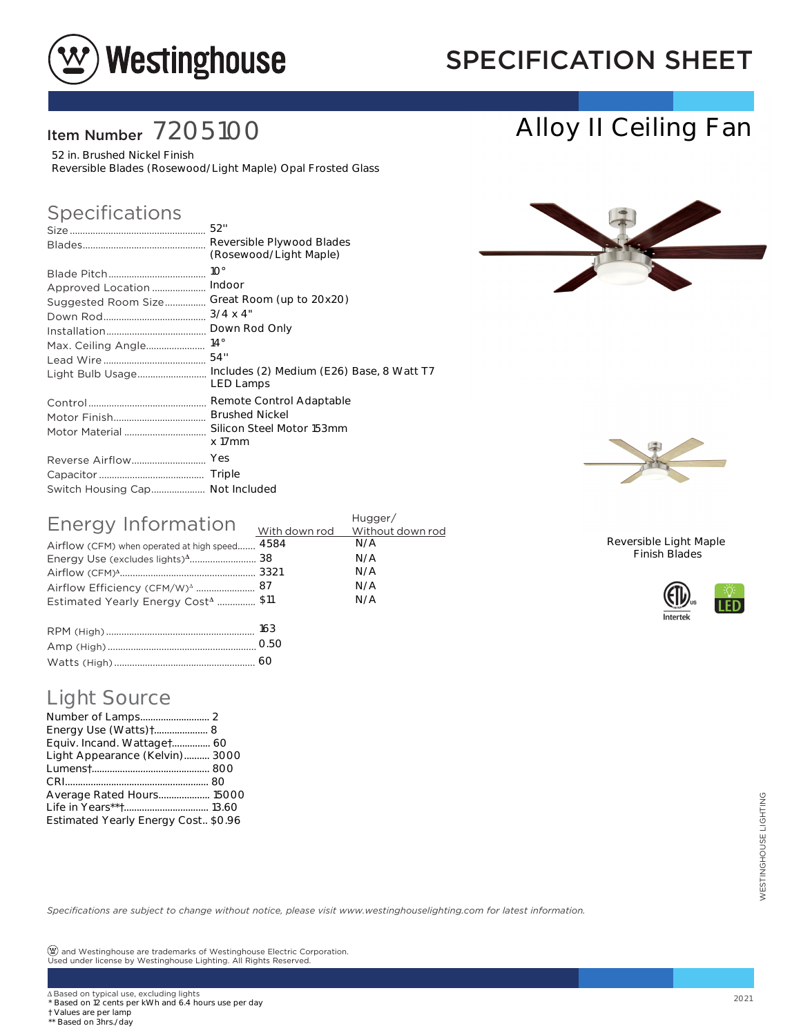

## SPECIFICATION SHEET

## Item Number 7205100

52 in. Brushed Nickel Finish Reversible Blades (Rosewood/Light Maple) Opal Frosted Glass

### Specifications

|                                                              | 52"                                                                                                                                                                            |
|--------------------------------------------------------------|--------------------------------------------------------------------------------------------------------------------------------------------------------------------------------|
|                                                              | Reversible Plywood Blades<br>(Rosewood/Light Maple)                                                                                                                            |
| Approved Location<br>Suggested Room Size<br>Light Bulb Usage | $10^{\circ}$<br>Indoor<br>Great Room (up to 20x20)<br>$3/4 \times 4"$<br>Down Rod Only<br>$14^{\circ}$<br>54"<br>Includes (2) Medium (E26) Base, 8 Watt T7<br><b>LED Lamps</b> |
| Motor Material                                               | Remote Control Adaptable<br><b>Brushed Nickel</b><br>Silicon Steel Motor 153mm<br>x 17mm                                                                                       |
| Switch Housing Cap Not Included                              | Yes                                                                                                                                                                            |

| Energy Information                             | Hugger/       |                  |
|------------------------------------------------|---------------|------------------|
|                                                | With down rod | Without down rod |
| Airflow (CFM) when operated at high speed      | 4584          | N/A              |
|                                                |               | N/A              |
|                                                |               | N/A              |
|                                                |               | N/A              |
| Estimated Yearly Energy Cost <sup>4</sup> \$11 |               | N/A              |
|                                                |               |                  |
|                                                |               |                  |

| 163  |
|------|
| O.50 |
|      |

### Light Source

| <b>Light Source</b>                                                                                                                                                              |      |
|----------------------------------------------------------------------------------------------------------------------------------------------------------------------------------|------|
|                                                                                                                                                                                  |      |
| Energy Use (Watts) + 8                                                                                                                                                           |      |
| Equiv. Incand. Wattaget 60                                                                                                                                                       |      |
| Light Appearance (Kelvin) 3000                                                                                                                                                   |      |
|                                                                                                                                                                                  |      |
| Average Rated Hours 15000                                                                                                                                                        |      |
| Life in Years**† 13.60                                                                                                                                                           |      |
| Estimated Yearly Energy Cost \$0.96                                                                                                                                              |      |
|                                                                                                                                                                                  |      |
|                                                                                                                                                                                  |      |
|                                                                                                                                                                                  |      |
|                                                                                                                                                                                  |      |
| Specifications are subject to change without notice, please visit www.westinghouselighting.com for latest information.                                                           |      |
|                                                                                                                                                                                  |      |
|                                                                                                                                                                                  |      |
| $\left(\underline{\mathbf{w}}\right)$ and Westinghouse are trademarks of Westinghouse Electric Corporation.<br>Used under license by Westinghouse Lighting. All Rights Reserved. |      |
|                                                                                                                                                                                  |      |
| ∆ Based on typical use, excluding lights                                                                                                                                         |      |
| * Based on 12 cents per kWh and 6.4 hours use per day                                                                                                                            | 2021 |
| † Values are per lamp<br>** Based on 3hrs./day                                                                                                                                   |      |



Alloy II Ceiling Fan



Reversible Light Maple Finish Blades



† Values are per lamp